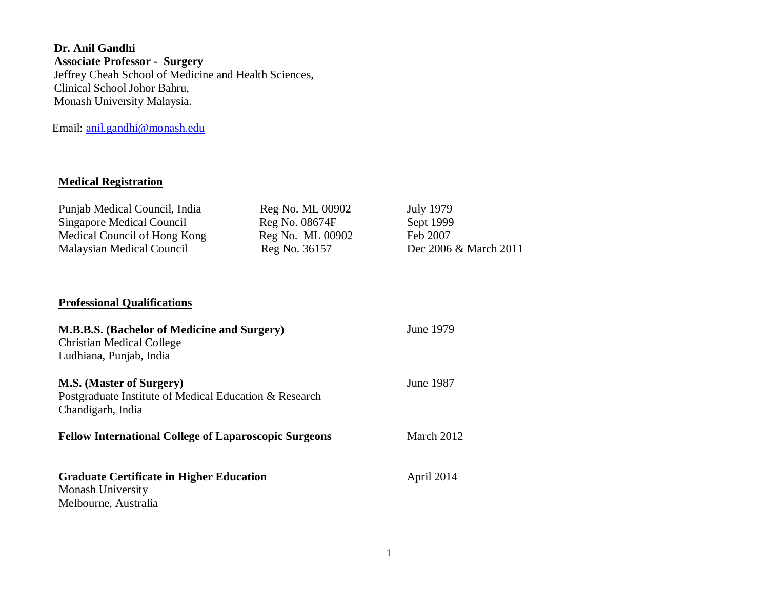**Dr. Anil Gandhi Associate Professor - Surgery** Jeffrey Cheah School of Medicine and Health Sciences, Clinical School Johor Bahru, Monash University Malaysia.

Email: [anil.gandhi@monash.edu](mailto:anil.gandhi@monash.edu)

# **Medical Registration**

| Punjab Medical Council, India<br><b>Singapore Medical Council</b><br>Medical Council of Hong Kong<br><b>Malaysian Medical Council</b> | Reg No. ML 00902<br>Reg No. 08674F<br>Reg No. ML 00902<br>Reg No. 36157 | <b>July 1979</b><br>Sept 1999<br>Feb 2007<br>Dec 2006 & March 2011 |
|---------------------------------------------------------------------------------------------------------------------------------------|-------------------------------------------------------------------------|--------------------------------------------------------------------|
| <b>Professional Qualifications</b>                                                                                                    |                                                                         |                                                                    |
| <b>M.B.B.S.</b> (Bachelor of Medicine and Surgery)<br><b>Christian Medical College</b><br>Ludhiana, Punjab, India                     | June 1979                                                               |                                                                    |
| <b>M.S. (Master of Surgery)</b><br>Postgraduate Institute of Medical Education & Research<br>Chandigarh, India                        | <b>June 1987</b>                                                        |                                                                    |
| <b>Fellow International College of Laparoscopic Surgeons</b>                                                                          |                                                                         | March 2012                                                         |
| <b>Graduate Certificate in Higher Education</b><br><b>Monash University</b><br>Melbourne, Australia                                   |                                                                         | April 2014                                                         |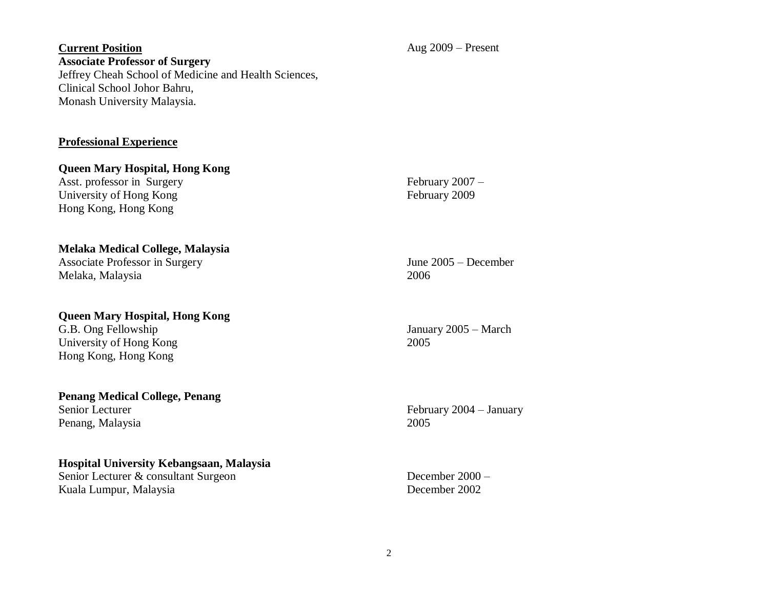## **Current Position Associate Professor of Surgery** Jeffrey Cheah School of Medicine and Health Sciences, Clinical School Johor Bahru, Monash University Malaysia.

## **Professional Experience**

**Queen Mary Hospital, Hong Kong**  Asst. professor in Surgery University of Hong Kong Hong Kong, Hong Kong

#### **Melaka Medical College, Malaysia**

Associate Professor in Surgery Melaka, Malaysia

#### **Queen Mary Hospital, Hong Kong**

G.B. Ong Fellowship University of Hong Kong Hong Kong, Hong Kong

#### **Penang Medical College, Penang**  Senior Lecturer Penang, Malaysia

#### **Hospital University Kebangsaan, Malaysia**

Senior Lecturer & consultant Surgeon Kuala Lumpur, Malaysia

February 2007 – February 2009

June 2005 – December 2006

January 2005 – March 2005

February 2004 – January 2005

December 2000 – December 2002

Aug 2009 – Present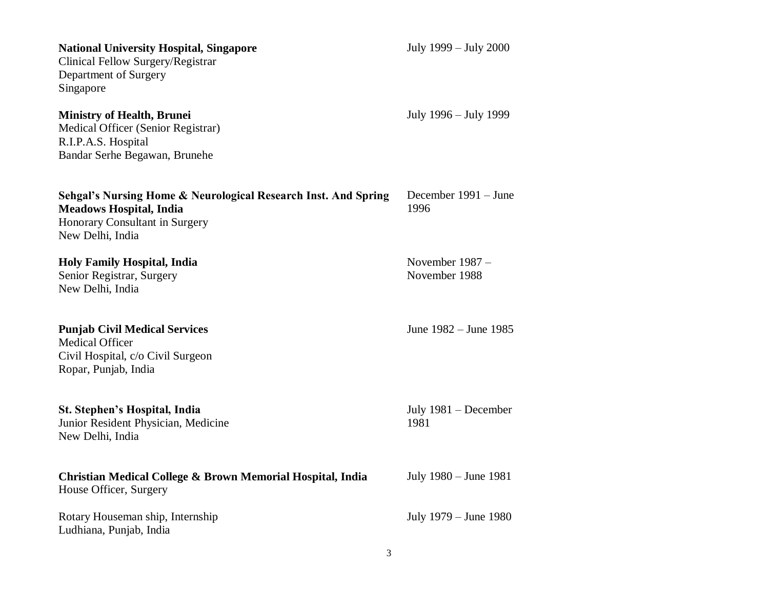| <b>National University Hospital, Singapore</b><br>Clinical Fellow Surgery/Registrar<br>Department of Surgery<br>Singapore                              | July 1999 – July 2000              |
|--------------------------------------------------------------------------------------------------------------------------------------------------------|------------------------------------|
| <b>Ministry of Health, Brunei</b><br>Medical Officer (Senior Registrar)<br>R.I.P.A.S. Hospital<br>Bandar Serhe Begawan, Brunehe                        | July 1996 – July 1999              |
| Sehgal's Nursing Home & Neurological Research Inst. And Spring<br><b>Meadows Hospital, India</b><br>Honorary Consultant in Surgery<br>New Delhi, India | December 1991 – June<br>1996       |
| <b>Holy Family Hospital, India</b><br>Senior Registrar, Surgery<br>New Delhi, India                                                                    | November $1987 -$<br>November 1988 |
| <b>Punjab Civil Medical Services</b><br><b>Medical Officer</b><br>Civil Hospital, c/o Civil Surgeon<br>Ropar, Punjab, India                            | June 1982 – June 1985              |
| St. Stephen's Hospital, India<br>Junior Resident Physician, Medicine<br>New Delhi, India                                                               | July $1981 - December$<br>1981     |
| Christian Medical College & Brown Memorial Hospital, India<br>House Officer, Surgery                                                                   | July 1980 – June 1981              |
| Rotary Houseman ship, Internship<br>Ludhiana, Punjab, India                                                                                            | July 1979 – June 1980              |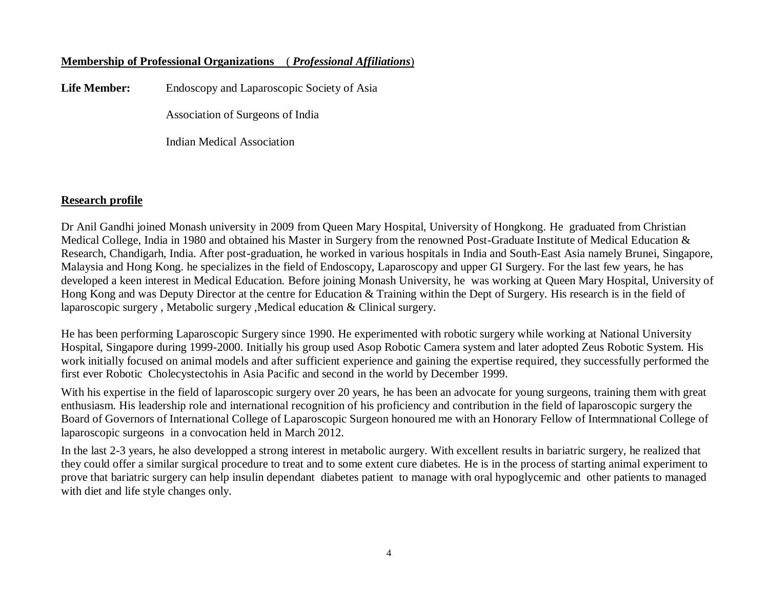# **Membership of Professional Organizations** ( *Professional Affiliations*)

**Life Member:** Endoscopy and Laparoscopic Society of Asia

Association of Surgeons of India

Indian Medical Association

## **Research profile**

Dr Anil Gandhi joined Monash university in 2009 from Queen Mary Hospital, University of Hongkong. He graduated from Christian Medical College, India in 1980 and obtained his Master in Surgery from the renowned Post-Graduate Institute of Medical Education & Research, Chandigarh, India. After post-graduation, he worked in various hospitals in India and South-East Asia namely Brunei, Singapore, Malaysia and Hong Kong. he specializes in the field of Endoscopy, Laparoscopy and upper GI Surgery. For the last few years, he has developed a keen interest in Medical Education. Before joining Monash University, he was working at Queen Mary Hospital, University of Hong Kong and was Deputy Director at the centre for Education & Training within the Dept of Surgery. His research is in the field of laparoscopic surgery , Metabolic surgery ,Medical education & Clinical surgery.

He has been performing Laparoscopic Surgery since 1990. He experimented with robotic surgery while working at National University Hospital, Singapore during 1999-2000. Initially his group used Asop Robotic Camera system and later adopted Zeus Robotic System. His work initially focused on animal models and after sufficient experience and gaining the expertise required, they successfully performed the first ever Robotic Cholecystectohis in Asia Pacific and second in the world by December 1999.

With his expertise in the field of laparoscopic surgery over 20 years, he has been an advocate for young surgeons, training them with great enthusiasm. His leadership role and international recognition of his proficiency and contribution in the field of laparoscopic surgery the Board of Governors of International College of Laparoscopic Surgeon honoured me with an Honorary Fellow of Intermnational College of laparoscopic surgeons in a convocation held in March 2012.

In the last 2-3 years, he also developped a strong interest in metabolic aurgery. With excellent results in bariatric surgery, he realized that they could offer a similar surgical procedure to treat and to some extent cure diabetes. He is in the process of starting animal experiment to prove that bariatric surgery can help insulin dependant diabetes patient to manage with oral hypoglycemic and other patients to managed with diet and life style changes only.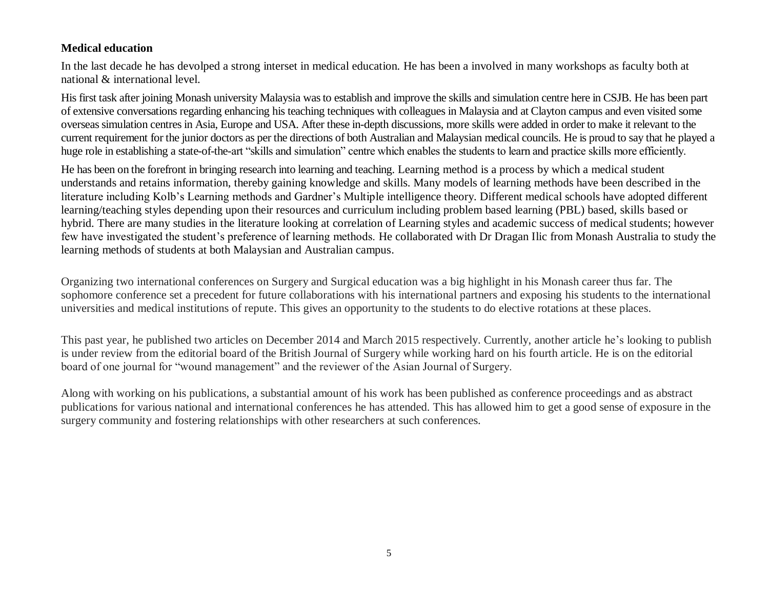# **Medical education**

In the last decade he has devolped a strong interset in medical education. He has been a involved in many workshops as faculty both at national & international level.

His first task after joining Monash university Malaysia was to establish and improve the skills and simulation centre here in CSJB. He has been part of extensive conversations regarding enhancing his teaching techniques with colleagues in Malaysia and at Clayton campus and even visited some overseas simulation centres in Asia, Europe and USA. After these in-depth discussions, more skills were added in order to make it relevant to the current requirement for the junior doctors as per the directions of both Australian and Malaysian medical councils. He is proud to say that he played a huge role in establishing a state-of-the-art "skills and simulation" centre which enables the students to learn and practice skills more efficiently.

He has been on the forefront in bringing research into learning and teaching. Learning method is a process by which a medical student understands and retains information, thereby gaining knowledge and skills. Many models of learning methods have been described in the literature including Kolb's Learning methods and Gardner's Multiple intelligence theory. Different medical schools have adopted different learning/teaching styles depending upon their resources and curriculum including problem based learning (PBL) based, skills based or hybrid. There are many studies in the literature looking at correlation of Learning styles and academic success of medical students; however few have investigated the student's preference of learning methods. He collaborated with Dr Dragan Ilic from Monash Australia to study the learning methods of students at both Malaysian and Australian campus.

Organizing two international conferences on Surgery and Surgical education was a big highlight in his Monash career thus far. The sophomore conference set a precedent for future collaborations with his international partners and exposing his students to the international universities and medical institutions of repute. This gives an opportunity to the students to do elective rotations at these places.

This past year, he published two articles on December 2014 and March 2015 respectively. Currently, another article he's looking to publish is under review from the editorial board of the British Journal of Surgery while working hard on his fourth article. He is on the editorial board of one journal for "wound management" and the reviewer of the Asian Journal of Surgery.

Along with working on his publications, a substantial amount of his work has been published as conference proceedings and as abstract publications for various national and international conferences he has attended. This has allowed him to get a good sense of exposure in the surgery community and fostering relationships with other researchers at such conferences.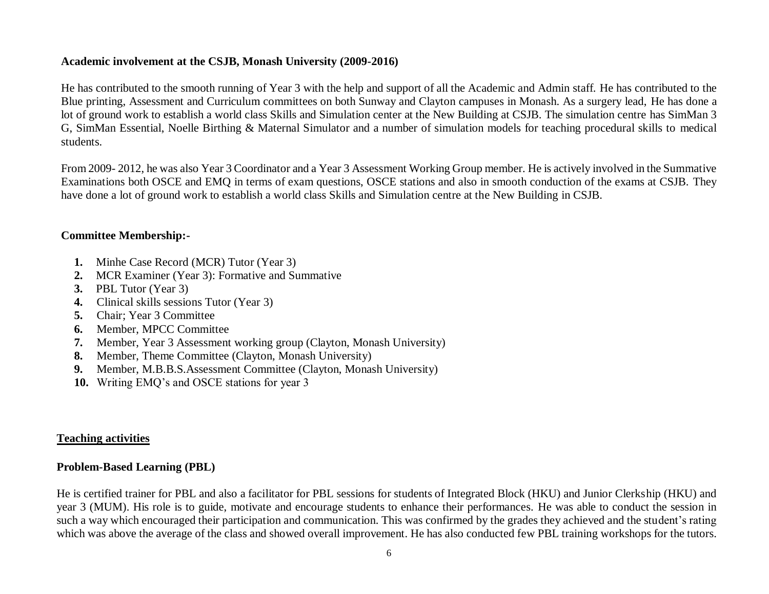# **Academic involvement at the CSJB, Monash University (2009-2016)**

He has contributed to the smooth running of Year 3 with the help and support of all the Academic and Admin staff. He has contributed to the Blue printing, Assessment and Curriculum committees on both Sunway and Clayton campuses in Monash. As a surgery lead, He has done a lot of ground work to establish a world class Skills and Simulation center at the New Building at CSJB. The simulation centre has SimMan 3 G, SimMan Essential, Noelle Birthing & Maternal Simulator and a number of simulation models for teaching procedural skills to medical students.

From 2009- 2012, he was also Year 3 Coordinator and a Year 3 Assessment Working Group member. He is actively involved in the Summative Examinations both OSCE and EMQ in terms of exam questions, OSCE stations and also in smooth conduction of the exams at CSJB. They have done a lot of ground work to establish a world class Skills and Simulation centre at the New Building in CSJB.

# **Committee Membership:-**

- **1.** Minhe Case Record (MCR) Tutor (Year 3)
- **2.** MCR Examiner (Year 3): Formative and Summative
- **3.** PBL Tutor (Year 3)
- **4.** Clinical skills sessions Tutor (Year 3)
- **5.** Chair; Year 3 Committee
- **6.** Member, MPCC Committee
- **7.** Member, Year 3 Assessment working group (Clayton, Monash University)
- **8.** Member, Theme Committee (Clayton, Monash University)
- **9.** Member, M.B.B.S.Assessment Committee (Clayton, Monash University)
- **10.** Writing EMQ's and OSCE stations for year 3

#### **Teaching activities**

# **Problem-Based Learning (PBL)**

He is certified trainer for PBL and also a facilitator for PBL sessions for students of Integrated Block (HKU) and Junior Clerkship (HKU) and year 3 (MUM). His role is to guide, motivate and encourage students to enhance their performances. He was able to conduct the session in such a way which encouraged their participation and communication. This was confirmed by the grades they achieved and the student's rating which was above the average of the class and showed overall improvement. He has also conducted few PBL training workshops for the tutors.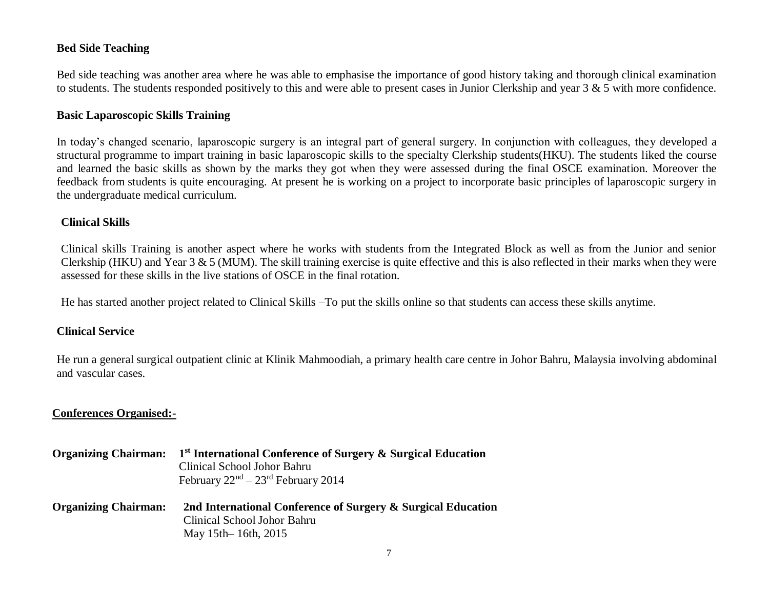## **Bed Side Teaching**

Bed side teaching was another area where he was able to emphasise the importance of good history taking and thorough clinical examination to students. The students responded positively to this and were able to present cases in Junior Clerkship and year 3 & 5 with more confidence.

#### **Basic Laparoscopic Skills Training**

In today's changed scenario, laparoscopic surgery is an integral part of general surgery. In conjunction with colleagues, they developed a structural programme to impart training in basic laparoscopic skills to the specialty Clerkship students(HKU). The students liked the course and learned the basic skills as shown by the marks they got when they were assessed during the final OSCE examination. Moreover the feedback from students is quite encouraging. At present he is working on a project to incorporate basic principles of laparoscopic surgery in the undergraduate medical curriculum.

#### **Clinical Skills**

Clinical skills Training is another aspect where he works with students from the Integrated Block as well as from the Junior and senior Clerkship (HKU) and Year 3 & 5 (MUM). The skill training exercise is quite effective and this is also reflected in their marks when they were assessed for these skills in the live stations of OSCE in the final rotation.

He has started another project related to Clinical Skills –To put the skills online so that students can access these skills anytime.

#### **Clinical Service**

He run a general surgical outpatient clinic at Klinik Mahmoodiah, a primary health care centre in Johor Bahru, Malaysia involving abdominal and vascular cases.

#### **Conferences Organised:-**

| <b>Organizing Chairman:</b> | 1 <sup>st</sup> International Conference of Surgery & Surgical Education<br>Clinical School Johor Bahru<br>February $22nd - 23rd$ February 2014 |
|-----------------------------|-------------------------------------------------------------------------------------------------------------------------------------------------|
| <b>Organizing Chairman:</b> | 2nd International Conference of Surgery & Surgical Education<br>Clinical School Johor Bahru<br>May 15th – 16th, 2015                            |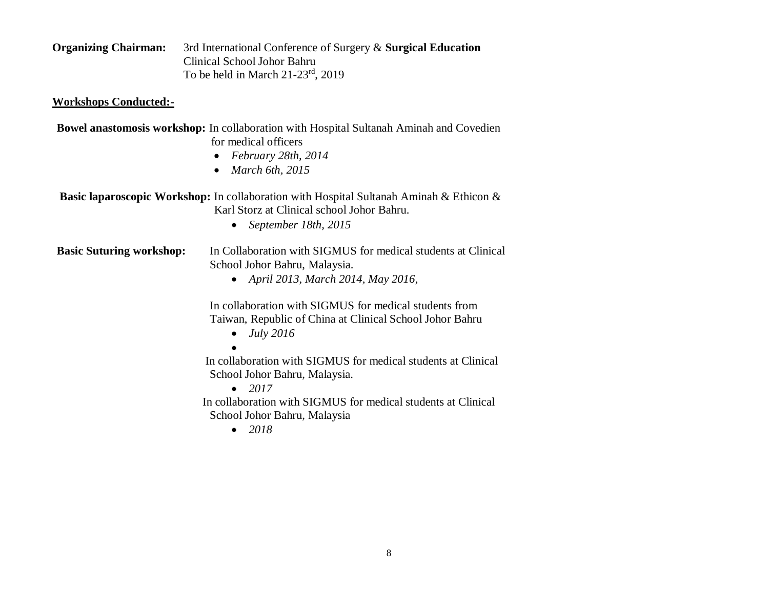| <b>Organizing Chairman:</b> | 3rd International Conference of Surgery & Surgical Education |
|-----------------------------|--------------------------------------------------------------|
|                             | Clinical School Johor Bahru                                  |
|                             | To be held in March $21-23^{rd}$ , $2019$                    |

## **Workshops Conducted:-**

| <b>Bowel anastomosis workshop:</b> In collaboration with Hospital Sultanah Aminah and Covedien |                      |  |  |
|------------------------------------------------------------------------------------------------|----------------------|--|--|
|                                                                                                | for medical officers |  |  |

- *February 28th, 2014*
- *March 6th, 2015*

| <b>Basic laparoscopic Workshop:</b> In collaboration with Hospital Sultanah Aminah & Ethicon & |
|------------------------------------------------------------------------------------------------|
| Karl Storz at Clinical school Johor Bahru.                                                     |

*September 18th, 2015*

**Basic Suturing workshop:** In Collaboration with SIGMUS for medical students at Clinical School Johor Bahru, Malaysia.

*April 2013, March 2014, May 2016*,

In collaboration with SIGMUS for medical students from Taiwan, Republic of China at Clinical School Johor Bahru

- *July 2016*
- $\bullet$

In collaboration with SIGMUS for medical students at Clinical School Johor Bahru, Malaysia.

• 2017

 In collaboration with SIGMUS for medical students at Clinical School Johor Bahru, Malaysia

*2018*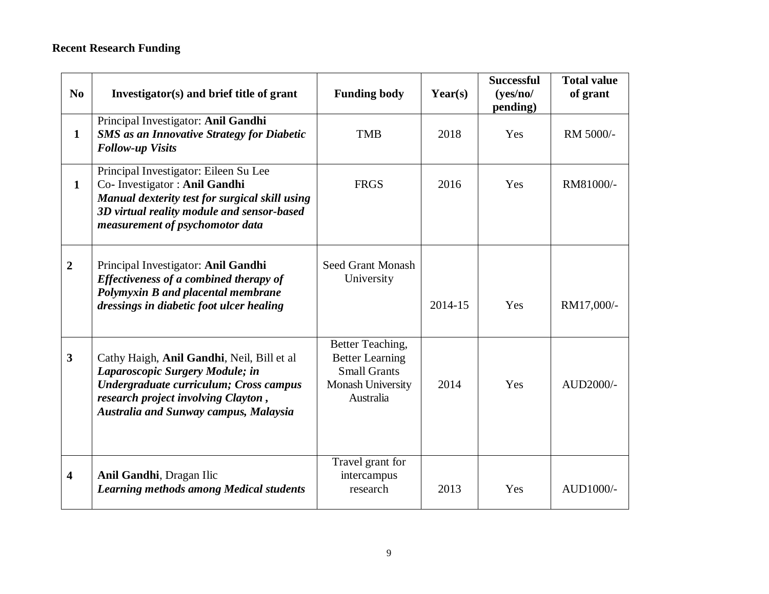# **Recent Research Funding**

| N <sub>0</sub>          | Investigator(s) and brief title of grant                                                                                                                                                                       | <b>Funding body</b>                                                                                 | Year(s) | <b>Successful</b><br>(yes/no/<br>pending) | <b>Total value</b><br>of grant |
|-------------------------|----------------------------------------------------------------------------------------------------------------------------------------------------------------------------------------------------------------|-----------------------------------------------------------------------------------------------------|---------|-------------------------------------------|--------------------------------|
| $\mathbf{1}$            | Principal Investigator: Anil Gandhi<br><b>SMS</b> as an Innovative Strategy for Diabetic<br><b>Follow-up Visits</b>                                                                                            | <b>TMB</b>                                                                                          | 2018    | Yes                                       | RM 5000/-                      |
| $\mathbf{1}$            | Principal Investigator: Eileen Su Lee<br>Co- Investigator : Anil Gandhi<br>Manual dexterity test for surgical skill using<br>3D virtual reality module and sensor-based<br>measurement of psychomotor data     | <b>FRGS</b>                                                                                         | 2016    | Yes                                       | RM81000/-                      |
| $\overline{2}$          | Principal Investigator: Anil Gandhi<br>Effectiveness of a combined therapy of<br>Polymyxin B and placental membrane<br>dressings in diabetic foot ulcer healing                                                | <b>Seed Grant Monash</b><br>University                                                              | 2014-15 | Yes                                       | RM17,000/-                     |
| $\overline{\mathbf{3}}$ | Cathy Haigh, Anil Gandhi, Neil, Bill et al<br>Laparoscopic Surgery Module; in<br>Undergraduate curriculum; Cross campus<br>research project involving Clayton,<br><b>Australia and Sunway campus, Malaysia</b> | Better Teaching,<br><b>Better Learning</b><br><b>Small Grants</b><br>Monash University<br>Australia | 2014    | Yes                                       | AUD2000/-                      |
| $\overline{\mathbf{4}}$ | Anil Gandhi, Dragan Ilic<br><b>Learning methods among Medical students</b>                                                                                                                                     | Travel grant for<br>intercampus<br>research                                                         | 2013    | Yes                                       | AUD1000/-                      |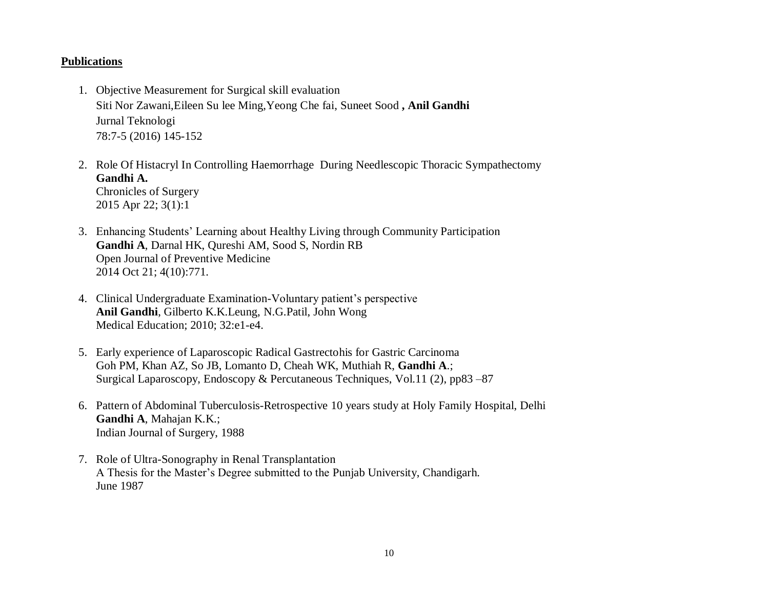#### **Publications**

- 1. Objective Measurement for Surgical skill evaluation Siti Nor Zawani,Eileen Su lee Ming,Yeong Che fai, Suneet Sood **, Anil Gandhi** Jurnal Teknologi 78:7-5 (2016) 145-152
- 2. Role Of Histacryl In Controlling Haemorrhage During Needlescopic Thoracic Sympathectomy **Gandhi A.**  Chronicles of Surgery 2015 Apr 22; 3(1):1
- 3. Enhancing Students' Learning about Healthy Living through Community Participation **Gandhi A**, Darnal HK, Qureshi AM, Sood S, Nordin RB Open Journal of Preventive Medicine 2014 Oct 21; 4(10):771.
- 4. Clinical Undergraduate Examination-Voluntary patient's perspective **Anil Gandhi**, Gilberto K.K.Leung, N.G.Patil, John Wong Medical Education; 2010; 32:e1-e4.
- 5. Early experience of Laparoscopic Radical Gastrectohis for Gastric Carcinoma [Goh PM,](http://www.ncbi.nlm.nih.gov/sites/entrez?Db=pubmed&Cmd=Search&Term=%22Goh%20PM%22%5BAuthor%5D&itool=EntrezSystem2.PEntrez.Pubmed.Pubmed_ResultsPanel.Pubmed_DiscoveryPanel.Pubmed_RVAbstractPlus) [Khan AZ,](http://www.ncbi.nlm.nih.gov/sites/entrez?Db=pubmed&Cmd=Search&Term=%22Khan%20AZ%22%5BAuthor%5D&itool=EntrezSystem2.PEntrez.Pubmed.Pubmed_ResultsPanel.Pubmed_DiscoveryPanel.Pubmed_RVAbstractPlus) [So JB,](http://www.ncbi.nlm.nih.gov/sites/entrez?Db=pubmed&Cmd=Search&Term=%22So%20JB%22%5BAuthor%5D&itool=EntrezSystem2.PEntrez.Pubmed.Pubmed_ResultsPanel.Pubmed_DiscoveryPanel.Pubmed_RVAbstractPlus) [Lomanto D,](http://www.ncbi.nlm.nih.gov/sites/entrez?Db=pubmed&Cmd=Search&Term=%22Lomanto%20D%22%5BAuthor%5D&itool=EntrezSystem2.PEntrez.Pubmed.Pubmed_ResultsPanel.Pubmed_DiscoveryPanel.Pubmed_RVAbstractPlus) [Cheah WK,](http://www.ncbi.nlm.nih.gov/sites/entrez?Db=pubmed&Cmd=Search&Term=%22Cheah%20WK%22%5BAuthor%5D&itool=EntrezSystem2.PEntrez.Pubmed.Pubmed_ResultsPanel.Pubmed_DiscoveryPanel.Pubmed_RVAbstractPlus) [Muthiah R,](http://www.ncbi.nlm.nih.gov/sites/entrez?Db=pubmed&Cmd=Search&Term=%22Muthiah%20R%22%5BAuthor%5D&itool=EntrezSystem2.PEntrez.Pubmed.Pubmed_ResultsPanel.Pubmed_DiscoveryPanel.Pubmed_RVAbstractPlus) **[Gandhi A](http://www.ncbi.nlm.nih.gov/sites/entrez?Db=pubmed&Cmd=Search&Term=%22Gandhi%20A%22%5BAuthor%5D&itool=EntrezSystem2.PEntrez.Pubmed.Pubmed_ResultsPanel.Pubmed_DiscoveryPanel.Pubmed_RVAbstractPlus)**.; Surgical Laparoscopy, Endoscopy & Percutaneous Techniques, Vol.11 (2), pp83 –87
- 6. Pattern of Abdominal Tuberculosis-Retrospective 10 years study at Holy Family Hospital, Delhi **Gandhi A**, Mahajan K.K.; Indian Journal of Surgery, 1988
- 7. Role of Ultra-Sonography in Renal Transplantation A Thesis for the Master's Degree submitted to the Punjab University, Chandigarh. June 1987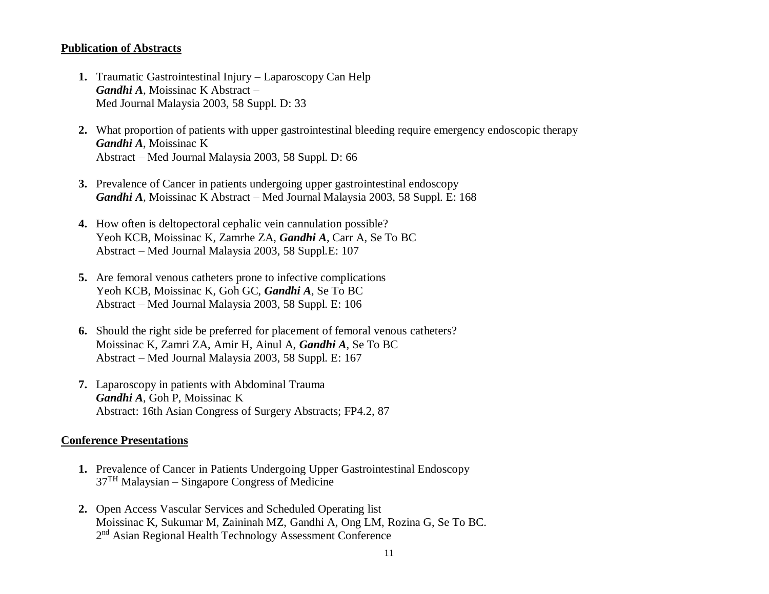#### **Publication of Abstracts**

- **1.** Traumatic Gastrointestinal Injury Laparoscopy Can Help *Gandhi A*, Moissinac K Abstract – Med Journal Malaysia 2003, 58 Suppl. D: 33
- **2.** What proportion of patients with upper gastrointestinal bleeding require emergency endoscopic therapy *Gandhi A*, Moissinac K Abstract – Med Journal Malaysia 2003, 58 Suppl. D: 66
- **3.** Prevalence of Cancer in patients undergoing upper gastrointestinal endoscopy *Gandhi A,* Moissinac K Abstract – Med Journal Malaysia 2003, 58 Suppl. E: 168
- **4.** How often is deltopectoral cephalic vein cannulation possible? Yeoh KCB, Moissinac K*,* Zamrhe ZA, *Gandhi A*, Carr A, Se To BC Abstract – Med Journal Malaysia 2003, 58 Suppl.E: 107
- **5.** Are femoral venous catheters prone to infective complications Yeoh KCB, Moissinac K*,* Goh GC, *Gandhi A*, Se To BC Abstract – Med Journal Malaysia 2003, 58 Suppl. E: 106
- **6.** Should the right side be preferred for placement of femoral venous catheters? Moissinac K*,* Zamri ZA, Amir H, Ainul A, *Gandhi A*, Se To BC Abstract – Med Journal Malaysia 2003, 58 Suppl. E: 167
- **7.** Laparoscopy in patients with Abdominal Trauma *Gandhi A*, Goh P, Moissinac K Abstract: 16th Asian Congress of Surgery Abstracts; FP4.2, 87

#### **Conference Presentations**

- **1.** Prevalence of Cancer in Patients Undergoing Upper Gastrointestinal Endoscopy 37TH Malaysian – Singapore Congress of Medicine
- **2.** Open Access Vascular Services and Scheduled Operating list Moissinac K, Sukumar M, Zaininah MZ, Gandhi A, Ong LM, Rozina G, Se To BC. 2<sup>nd</sup> Asian Regional Health Technology Assessment Conference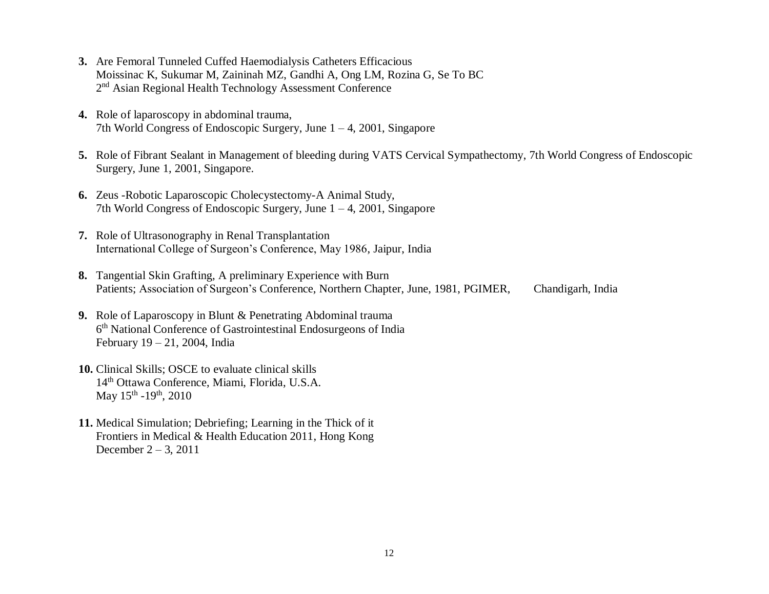- **3.** Are Femoral Tunneled Cuffed Haemodialysis Catheters Efficacious Moissinac K, Sukumar M, Zaininah MZ, Gandhi A, Ong LM, Rozina G, Se To BC 2<sup>nd</sup> Asian Regional Health Technology Assessment Conference
- **4.** Role of laparoscopy in abdominal trauma, 7th World Congress of Endoscopic Surgery, June 1 – 4, 2001, Singapore
- **5.** Role of Fibrant Sealant in Management of bleeding during VATS Cervical Sympathectomy, 7th World Congress of Endoscopic Surgery, June 1, 2001, Singapore.
- **6.** Zeus -Robotic Laparoscopic Cholecystectomy-A Animal Study, 7th World Congress of Endoscopic Surgery, June 1 – 4, 2001, Singapore
- **7.** Role of Ultrasonography in Renal Transplantation International College of Surgeon's Conference, May 1986, Jaipur, India
- **8.** Tangential Skin Grafting, A preliminary Experience with Burn Patients; Association of Surgeon's Conference, Northern Chapter, June, 1981, PGIMER, Chandigarh, India
- **9.** Role of Laparoscopy in Blunt & Penetrating Abdominal trauma 6 th National Conference of Gastrointestinal Endosurgeons of India February 19 – 21, 2004, India
- **10.** Clinical Skills; OSCE to evaluate clinical skills 14th Ottawa Conference, Miami, Florida, U.S.A. May 15<sup>th</sup> -19<sup>th</sup>, 2010
- **11.** Medical Simulation; Debriefing; Learning in the Thick of it Frontiers in Medical & Health Education 2011, Hong Kong December 2 – 3, 2011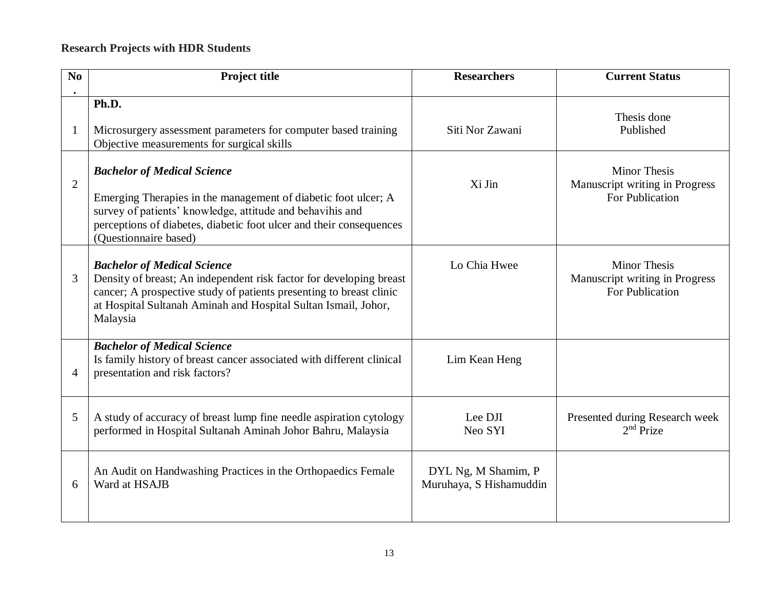# **Research Projects with HDR Students**

| No             | <b>Project title</b>                                                                                                                                                                                                                                              | <b>Researchers</b>                             | <b>Current Status</b>                                                    |
|----------------|-------------------------------------------------------------------------------------------------------------------------------------------------------------------------------------------------------------------------------------------------------------------|------------------------------------------------|--------------------------------------------------------------------------|
|                | Ph.D.<br>Microsurgery assessment parameters for computer based training<br>Objective measurements for surgical skills                                                                                                                                             | Siti Nor Zawani                                | Thesis done<br>Published                                                 |
| $\overline{2}$ | <b>Bachelor of Medical Science</b><br>Emerging Therapies in the management of diabetic foot ulcer; A<br>survey of patients' knowledge, attitude and behavihis and<br>perceptions of diabetes, diabetic foot ulcer and their consequences<br>(Questionnaire based) | Xi Jin                                         | <b>Minor Thesis</b><br>Manuscript writing in Progress<br>For Publication |
| 3              | <b>Bachelor of Medical Science</b><br>Density of breast; An independent risk factor for developing breast<br>cancer; A prospective study of patients presenting to breast clinic<br>at Hospital Sultanah Aminah and Hospital Sultan Ismail, Johor,<br>Malaysia    | Lo Chia Hwee                                   | <b>Minor Thesis</b><br>Manuscript writing in Progress<br>For Publication |
| $\overline{4}$ | <b>Bachelor of Medical Science</b><br>Is family history of breast cancer associated with different clinical<br>presentation and risk factors?                                                                                                                     | Lim Kean Heng                                  |                                                                          |
| 5              | A study of accuracy of breast lump fine needle aspiration cytology<br>performed in Hospital Sultanah Aminah Johor Bahru, Malaysia                                                                                                                                 | Lee DJI<br>Neo SYI                             | Presented during Research week<br>$2nd$ Prize                            |
| 6              | An Audit on Handwashing Practices in the Orthopaedics Female<br>Ward at HSAJB                                                                                                                                                                                     | DYL Ng, M Shamim, P<br>Muruhaya, S Hishamuddin |                                                                          |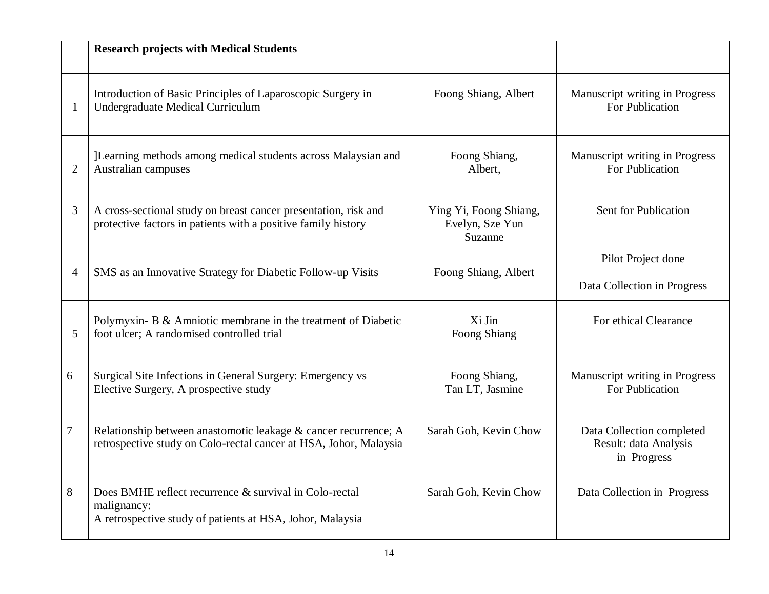|                | <b>Research projects with Medical Students</b>                                                                                       |                                                      |                                                                   |
|----------------|--------------------------------------------------------------------------------------------------------------------------------------|------------------------------------------------------|-------------------------------------------------------------------|
| -1             | Introduction of Basic Principles of Laparoscopic Surgery in<br><b>Undergraduate Medical Curriculum</b>                               | Foong Shiang, Albert                                 | Manuscript writing in Progress<br>For Publication                 |
| $\overline{2}$ | ]Learning methods among medical students across Malaysian and<br>Australian campuses                                                 | Foong Shiang,<br>Albert,                             | Manuscript writing in Progress<br>For Publication                 |
| 3              | A cross-sectional study on breast cancer presentation, risk and<br>protective factors in patients with a positive family history     | Ying Yi, Foong Shiang,<br>Evelyn, Sze Yun<br>Suzanne | Sent for Publication                                              |
| $\overline{4}$ | <b>SMS</b> as an Innovative Strategy for Diabetic Follow-up Visits                                                                   | Foong Shiang, Albert                                 | Pilot Project done<br>Data Collection in Progress                 |
| 5              | Polymyxin- B & Amniotic membrane in the treatment of Diabetic<br>foot ulcer; A randomised controlled trial                           | Xi Jin<br><b>Foong Shiang</b>                        | For ethical Clearance                                             |
| 6              | Surgical Site Infections in General Surgery: Emergency vs<br>Elective Surgery, A prospective study                                   | Foong Shiang,<br>Tan LT, Jasmine                     | Manuscript writing in Progress<br>For Publication                 |
| 7              | Relationship between anastomotic leakage & cancer recurrence; A<br>retrospective study on Colo-rectal cancer at HSA, Johor, Malaysia | Sarah Goh, Kevin Chow                                | Data Collection completed<br>Result: data Analysis<br>in Progress |
| 8              | Does BMHE reflect recurrence & survival in Colo-rectal<br>malignancy:<br>A retrospective study of patients at HSA, Johor, Malaysia   | Sarah Goh, Kevin Chow                                | Data Collection in Progress                                       |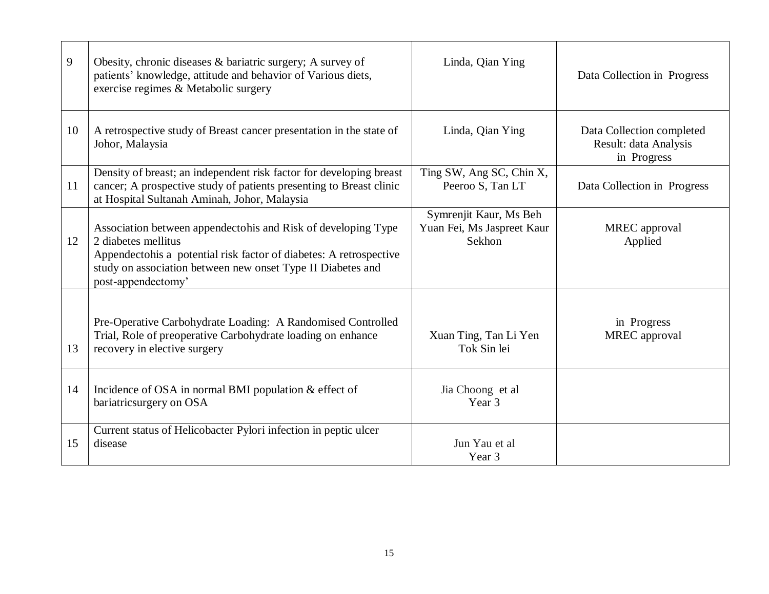| 9  | Obesity, chronic diseases & bariatric surgery; A survey of<br>patients' knowledge, attitude and behavior of Various diets,<br>exercise regimes & Metabolic surgery                                                                              | Linda, Qian Ying                                               | Data Collection in Progress                                       |
|----|-------------------------------------------------------------------------------------------------------------------------------------------------------------------------------------------------------------------------------------------------|----------------------------------------------------------------|-------------------------------------------------------------------|
| 10 | A retrospective study of Breast cancer presentation in the state of<br>Johor, Malaysia                                                                                                                                                          | Linda, Qian Ying                                               | Data Collection completed<br>Result: data Analysis<br>in Progress |
| 11 | Density of breast; an independent risk factor for developing breast<br>cancer; A prospective study of patients presenting to Breast clinic<br>at Hospital Sultanah Aminah, Johor, Malaysia                                                      | Ting SW, Ang SC, Chin X,<br>Peeroo S, Tan LT                   | Data Collection in Progress                                       |
| 12 | Association between appendectohis and Risk of developing Type<br>2 diabetes mellitus<br>Appendectohis a potential risk factor of diabetes: A retrospective<br>study on association between new onset Type II Diabetes and<br>post-appendectomy' | Symrenjit Kaur, Ms Beh<br>Yuan Fei, Ms Jaspreet Kaur<br>Sekhon | <b>MREC</b> approval<br>Applied                                   |
| 13 | Pre-Operative Carbohydrate Loading: A Randomised Controlled<br>Trial, Role of preoperative Carbohydrate loading on enhance<br>recovery in elective surgery                                                                                      | Xuan Ting, Tan Li Yen<br>Tok Sin lei                           | in Progress<br><b>MREC</b> approval                               |
| 14 | Incidence of OSA in normal BMI population & effect of<br>bariatricsurgery on OSA                                                                                                                                                                | Jia Choong et al<br>Year 3                                     |                                                                   |
| 15 | Current status of Helicobacter Pylori infection in peptic ulcer<br>disease                                                                                                                                                                      | Jun Yau et al<br>Year 3                                        |                                                                   |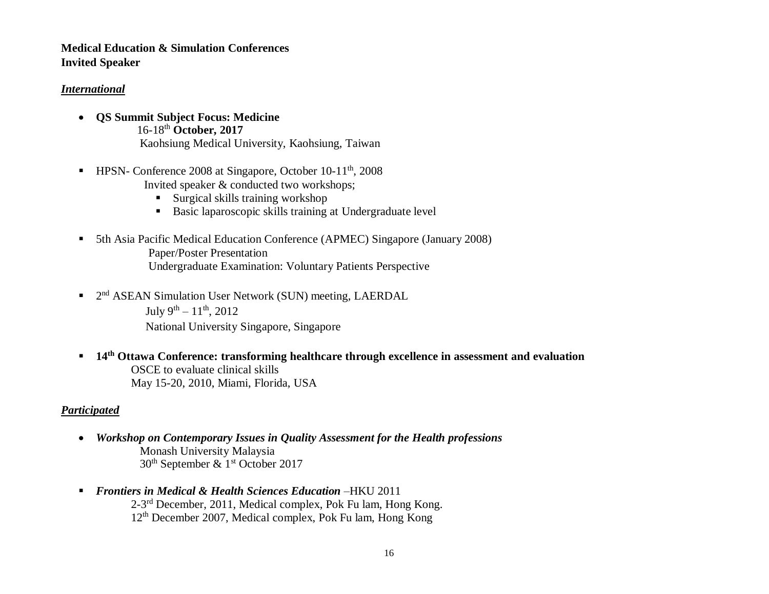# **Medical Education & Simulation Conferences Invited Speaker**

#### *International*

- **QS Summit Subject Focus: Medicine** 16-18th **October, 2017** Kaohsiung Medical University, Kaohsiung, Taiwan
- HPSN- Conference 2008 at Singapore, October 10-11<sup>th</sup>, 2008 Invited speaker & conducted two workshops;
	- Surgical skills training workshop
	- Basic laparoscopic skills training at Undergraduate level
- 5th Asia Pacific Medical Education Conference (APMEC) Singapore (January 2008) Paper/Poster Presentation Undergraduate Examination: Voluntary Patients Perspective
- <sup>2nd</sup> ASEAN Simulation User Network (SUN) meeting, LAERDAL July 9<sup>th</sup> –  $11<sup>th</sup>$ , 2012

National University Singapore, Singapore

 **14th Ottawa Conference: transforming healthcare through excellence in assessment and evaluation** OSCE to evaluate clinical skills May 15-20, 2010, Miami, Florida, USA

# *Participated*

- *Workshop on Contemporary Issues in Quality Assessment for the Health professions* **Monash University Malaysia** 30th September & 1st October 2017
- *Frontiers in Medical & Health Sciences Education* –HKU 2011 2-3<sup>rd</sup> December, 2011, Medical complex, Pok Fu lam, Hong Kong. 12th December 2007, Medical complex, Pok Fu lam, Hong Kong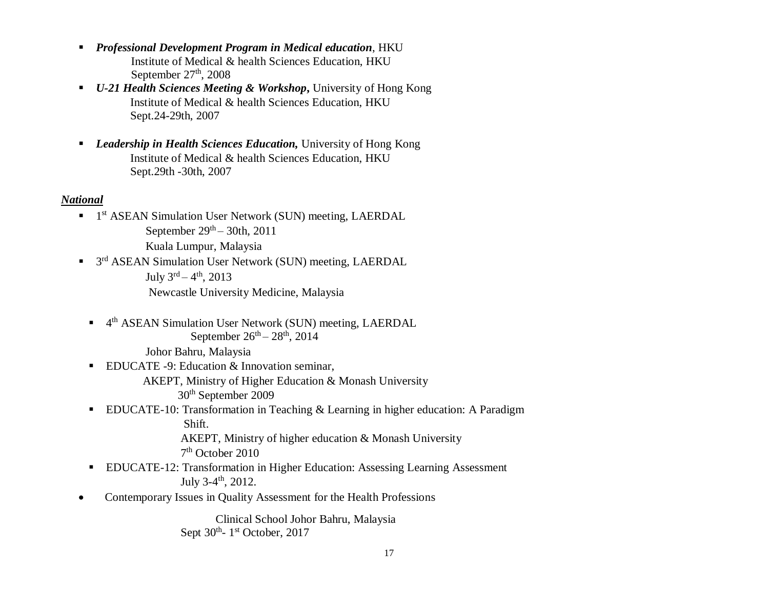- *Professional Development Program in Medical education*, HKU Institute of Medical & health Sciences Education, HKU September  $27<sup>th</sup>$ , 2008
- *U-21 Health Sciences Meeting & Workshop***,** University of Hong Kong Institute of Medical & health Sciences Education, HKU Sept.24-29th, 2007
- *Leadership in Health Sciences Education,* University of Hong Kong Institute of Medical & health Sciences Education, HKU Sept.29th -30th, 2007

# *National*

- <sup>1</sup> 1<sup>st</sup> ASEAN Simulation User Network (SUN) meeting, LAERDAL September  $29<sup>th</sup> - 30th$ , 2011 Kuala Lumpur, Malaysia
- <sup>3rd</sup> ASEAN Simulation User Network (SUN) meeting, LAERDAL July  $3^{\text{rd}} - 4^{\text{th}}$ , 2013 Newcastle University Medicine, Malaysia
	- <sup>4th</sup> ASEAN Simulation User Network (SUN) meeting, LAERDAL September  $26<sup>th</sup> - 28<sup>th</sup>$ , 2014
		- Johor Bahru, Malaysia
	- **EDUCATE -9: Education & Innovation seminar,** 
		- AKEPT, Ministry of Higher Education & Monash University
			- 30th September 2009
	- **EDUCATE-10: Transformation in Teaching & Learning in higher education: A Paradigm** Shift.

AKEPT, Ministry of higher education & Monash University 7 th October 2010

- EDUCATE-12: Transformation in Higher Education: Assessing Learning Assessment July 3-4<sup>th</sup>, 2012.
- Contemporary Issues in Quality Assessment for the Health Professions

Clinical School Johor Bahru, Malaysia Sept  $30<sup>th</sup>$ - 1<sup>st</sup> October, 2017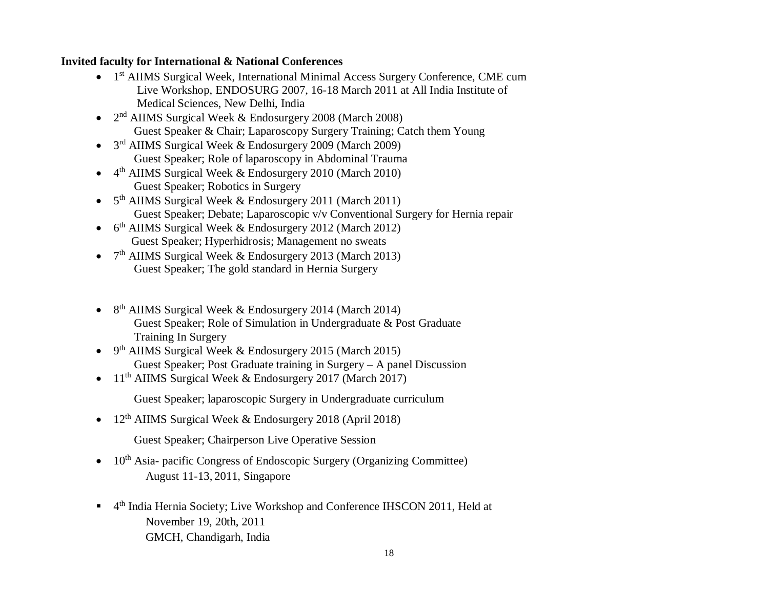#### **Invited faculty for International & National Conferences**

- 1<sup>st</sup> AIIMS Surgical Week, International Minimal Access Surgery Conference, CME cum Live Workshop, ENDOSURG 2007, 16-18 March 2011 at All India Institute of Medical Sciences, New Delhi, India
- 2<sup>nd</sup> AIIMS Surgical Week & Endosurgery 2008 (March 2008) Guest Speaker & Chair; Laparoscopy Surgery Training; Catch them Young
- 3<sup>rd</sup> AIIMS Surgical Week & Endosurgery 2009 (March 2009) Guest Speaker; Role of laparoscopy in Abdominal Trauma
- 4<sup>th</sup> AIIMS Surgical Week & Endosurgery 2010 (March 2010) Guest Speaker; Robotics in Surgery
- 5<sup>th</sup> AIIMS Surgical Week & Endosurgery 2011 (March 2011) Guest Speaker; Debate; Laparoscopic v/v Conventional Surgery for Hernia repair
- 6<sup>th</sup> AIIMS Surgical Week & Endosurgery 2012 (March 2012) Guest Speaker; Hyperhidrosis; Management no sweats
- 7<sup>th</sup> AIIMS Surgical Week & Endosurgery 2013 (March 2013) Guest Speaker; The gold standard in Hernia Surgery
- 8<sup>th</sup> AIIMS Surgical Week & Endosurgery 2014 (March 2014) Guest Speaker; Role of Simulation in Undergraduate & Post Graduate Training In Surgery
- 9<sup>th</sup> AIIMS Surgical Week & Endosurgery 2015 (March 2015) Guest Speaker; Post Graduate training in Surgery – A panel Discussion
- $11<sup>th</sup>$  AIIMS Surgical Week & Endosurgery 2017 (March 2017)
	- Guest Speaker; laparoscopic Surgery in Undergraduate curriculum
- $12<sup>th</sup>$  AIIMS Surgical Week & Endosurgery 2018 (April 2018)
	- Guest Speaker; Chairperson Live Operative Session
- $\bullet$  10<sup>th</sup> Asia- pacific Congress of Endoscopic Surgery (Organizing Committee) August 11-13, 2011, Singapore
- <sup>4th</sup> India Hernia Society; Live Workshop and Conference IHSCON 2011, Held at November 19, 20th, 2011 GMCH, Chandigarh, India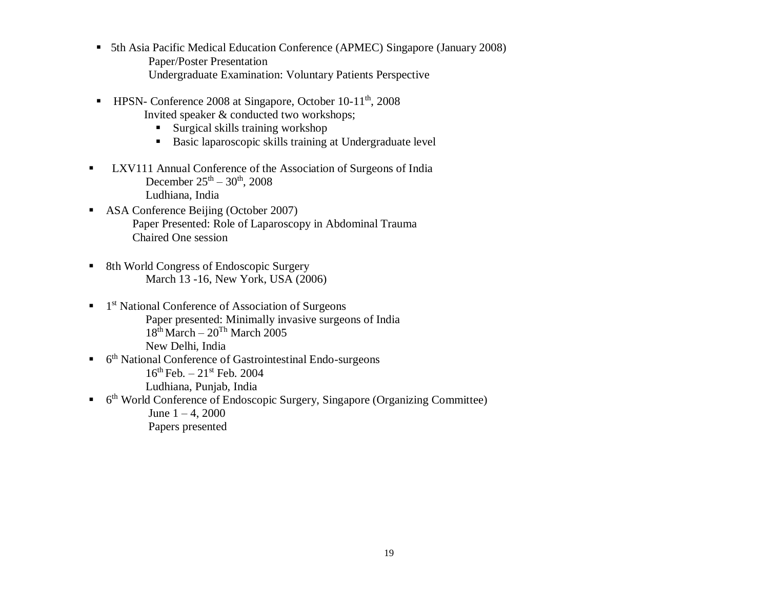- 5th Asia Pacific Medical Education Conference (APMEC) Singapore (January 2008) Paper/Poster Presentation Undergraduate Examination: Voluntary Patients Perspective
- HPSN- Conference 2008 at Singapore, October 10-11<sup>th</sup>, 2008 Invited speaker & conducted two workshops;
	- Surgical skills training workshop
	- Basic laparoscopic skills training at Undergraduate level
- **LXV111 Annual Conference of the Association of Surgeons of India** December  $25^{th} - 30^{th}$ , 2008 Ludhiana, India
- ASA Conference Beijing (October 2007) Paper Presented: Role of Laparoscopy in Abdominal Trauma Chaired One session
- 8th World Congress of Endoscopic Surgery March 13 -16, New York, USA (2006)
- <sup>1st</sup> National Conference of Association of Surgeons Paper presented: Minimally invasive surgeons of India  $18<sup>th</sup> March - 20<sup>Th</sup> March 2005$ New Delhi, India
- <sup>th</sup> National Conference of Gastrointestinal Endo-surgeons  $16^{th}$  Feb.  $-21^{st}$  Feb. 2004 Ludhiana, Punjab, India
- <sup>th</sup> World Conference of Endoscopic Surgery, Singapore (Organizing Committee) June  $1 - 4$ , 2000 Papers presented